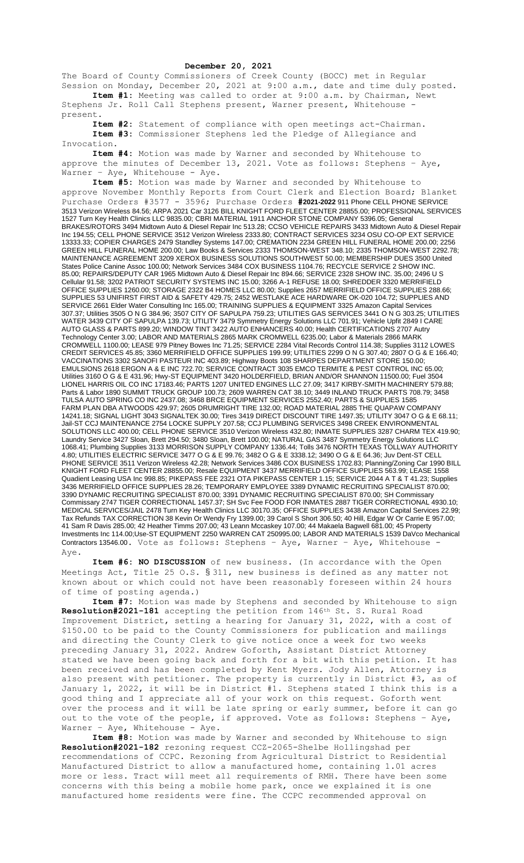## **December 20, 2021**

The Board of County Commissioners of Creek County (BOCC) met in Regular Session on Monday, December 20, 2021 at 9:00 a.m., date and time duly posted. **Item #1:** Meeting was called to order at 9:00 a.m. by Chairman, Newt

Stephens Jr. Roll Call Stephens present, Warner present, Whitehouse present.

**Item #2:** Statement of compliance with open meetings act-Chairman. **Item #3:** Commissioner Stephens led the Pledge of Allegiance and Invocation.

**Item #4:** Motion was made by Warner and seconded by Whitehouse to approve the minutes of December 13, 2021. Vote as follows: Stephens – Aye, Warner - Aye, Whitehouse - Aye.

**Item #5:** Motion was made by Warner and seconded by Whitehouse to approve November Monthly Reports from Court Clerk and Election Board; Blanket Purchase Orders #3577 - 3596; Purchase Orders **#2021-2022** 911 Phone CELL PHONE SERVICE 3513 Verizon Wireless 84.56; ARPA 2021 Car 3126 BILL KNIGHT FORD FLEET CENTER 28855.00; PROFESSIONAL SERVICES 1527 Turn Key Health Clinics LLC 9835.00; CBRI MATERIAL 1911 ANCHOR STONE COMPANY 5396.05; General BRAKES/ROTORS 3494 Midtown Auto & Diesel Repair Inc 513.28; CCSO VEHICLE REPAIRS 3433 Midtown Auto & Diesel Repair Inc 194.55; CELL PHONE SERVICE 3512 Verizon Wireless 2333.80; CONTRACT SERVICES 3234 OSU CO-OP EXT SERVICE 13333.33; COPIER CHARGES 2479 Standley Systems 147.00; CREMATION 2234 GREEN HILL FUNERAL HOME 200.00; 2256 GREEN HILL FUNERAL HOME 200.00; Law Books & Services 2333 THOMSON-WEST 348.10; 2335 THOMSON-WEST 2292.78; MAINTENANCE AGREEMENT 3209 XEROX BUSINESS SOLUTIONS SOUTHWEST 50.00; MEMBERSHIP DUES 3500 United States Police Canine Assoc 100.00; Network Services 3484 COX BUSINESS 1104.76; RECYCLE SERVICE 2 SHOW INC. 85.00; REPAIRS/DEPUTY CAR 1965 Midtown Auto & Diesel Repair Inc 894.66; SERVICE 2328 SHOW INC. 35.00; 2496 U S Cellular 91.58; 3202 PATRIOT SECURITY SYSTEMS INC 15.00; 3266 A-1 REFUSE 18.00; SHREDDER 3320 MERRIFIELD OFFICE SUPPLIES 1260.00; STORAGE 2322 B4 HOMES LLC 80.00; Supplies 2657 MERRIFIELD OFFICE SUPPLIES 288.66; SUPPLIES 53 UNIFIRST FIRST AID & SAFETY 429.75; 2452 WESTLAKE ACE HARDWARE OK-020 104.72; SUPPLIES AND SERVICE 2661 Elder Water Consulting Inc 165.00; TRAINING SUPPLIES & EQUIPMENT 3325 Amazon Capital Services 307.37; Utilities 3505 O N G 384.96; 3507 CITY OF SAPULPA 759.23; UTILITIES GAS SERVICES 3441 O N G 303.25; UTILITIES WATER 3439 CITY OF SAPULPA 139.73; UTILITY 3479 Symmetry Energy Solutions LLC 701.91; Vehicle Upfit 2849 I CARE AUTO GLASS & PARTS 899.20; WINDOW TINT 3422 AUTO ENHANCERS 40.00; Health CERTIFICATIONS 2707 Autry Technology Center 3.00; LABOR AND MATERIALS 2865 MARK CROMWELL 6235.00; Labor & Materials 2866 MARK CROMWELL 1100.00; LEASE 979 Pitney Bowes Inc 71.25; SERVICE 2284 Vital Records Control 114.38; Supplies 3112 LOWES CREDIT SERVICES 45.85; 3360 MERRIFIELD OFFICE SUPPLIES 199.99; UTILITIES 2299 O N G 307.40; 2807 O G & E 166.40; VACCINATIONS 3302 SANOFI PASTEUR INC 403.89; Highway Boots 108 SHARPES DEPARTMENT STORE 150.00; EMULSIONS 2618 ERGON A & E INC 722.70; SERVICE CONTRACT 3035 EMCO TERMITE & PEST CONTROL INC 65.00; Utilities 3160 O G & E 431.96; Hwy-ST EQUIPMENT 3420 HOLDERFIELD, BRIAN AND/OR SHANNON 11500.00; Fuel 3504 LIONEL HARRIS OIL CO INC 17183.46; PARTS 1207 UNITED ENGINES LLC 27.09; 3417 KIRBY-SMITH MACHINERY 579.88; Parts & Labor 1890 SUMMIT TRUCK GROUP 100.73; 2609 WARREN CAT 38.10; 3449 INLAND TRUCK PARTS 708.79; 3458 TULSA AUTO SPRING CO INC 2437.08; 3468 BRCE EQUIPMENT SERVICES 2552.40; PARTS & SUPPLIES 1585 FARM PLAN DBA ATWOODS 429.97; 2605 DRUMRIGHT TIRE 132.00; ROAD MATERIAL 2885 THE QUAPAW COMPANY 14241.18; SIGNAL LIGHT 3043 SIGNALTEK 30.00; Tires 3419 DIRECT DISCOUNT TIRE 1497.35; UTILITY 3047 O G & E 68.11; Jail-ST CCJ MAINTENANCE 2754 LOCKE SUPPLY 207.58; CCJ PLUMBING SERVICES 3498 CREEK ENVIRONMENTAL SOLUTIONS LLC 400.00; CELL PHONE SERVICE 3510 Verizon Wireless 432.80; INMATE SUPPLIES 3287 CHARM TEX 419.90; Laundry Service 3427 Sloan, Brett 294.50; 3480 Sloan, Brett 100.00; NATURAL GAS 3487 Symmetry Energy Solutions LLC 1068.41; Plumbing Supplies 3133 MORRISON SUPPLY COMPANY 1336.44; Tolls 3476 NORTH TEXAS TOLLWAY AUTHORITY 4.80; UTILITIES ELECTRIC SERVICE 3477 O G & E 99.76; 3482 O G & E 3338.12; 3490 O G & E 64.36; Juv Dent-ST CELL PHONE SERVICE 3511 Verizon Wireless 42.28; Network Services 3486 COX BUSINESS 1702.83; Planning/Zoning Car 1990 BILL KNIGHT FORD FLEET CENTER 28855.00; Resale EQUIPMENT 3437 MERRIFIELD OFFICE SUPPLIES 563.99; LEASE 1558 Quadient Leasing USA Inc 998.85; PIKEPASS FEE 2321 OTA PIKEPASS CENTER 1.15; SERVICE 2044 A T & T 41.23; Supplies 3436 MERRIFIELD OFFICE SUPPLIES 28.26; TEMPORARY EMPLOYEE 3389 DYNAMIC RECRUITING SPECIALIST 870.00; 3390 DYNAMIC RECRUITING SPECIALIST 870.00; 3391 DYNAMIC RECRUITING SPECIALIST 870.00; SH Commissary Commissary 2747 TIGER CORRECTIONAL 1457.37; SH Svc Fee FOOD FOR INMATES 2887 TIGER CORRECTIONAL 4930.10; MEDICAL SERVICES/JAIL 2478 Turn Key Health Clinics LLC 30170.35; OFFICE SUPPLIES 3438 Amazon Capital Services 22.99; Tax Refunds TAX CORRECTION 38 Kevin Or Wendy Fry 1399.00; 39 Carol S Short 306.50; 40 Hill, Edgar W Or Carrie E 957.00; 41 Sam R Davis 285.00; 42 Heather Timms 207.00; 43 Leann Mccaskey 107.00; 44 Makaela Bagwell 681.00; 45 Property Investments Inc 114.00;Use-ST EQUIPMENT 2250 WARREN CAT 250995.00; LABOR AND MATERIALS 1539 DaVco Mechanical Contractors 13546.00. Vote as follows: Stephens - Aye, Warner - Aye, Whitehouse Aye.

**Item #6: NO DISCUSSION** of new business. (In accordance with the Open Meetings Act, Title 25 O.S. § 311, new business is defined as any matter not known about or which could not have been reasonably foreseen within 24 hours of time of posting agenda.)

**Item #7:** Motion was made by Stephens and seconded by Whitehouse to sign **Resolution#2021-181** accepting the petition from 146th St. S. Rural Road Improvement District, setting a hearing for January 31, 2022, with a cost of \$150.00 to be paid to the County Commissioners for publication and mailings and directing the County Clerk to give notice once a week for two weeks preceding January 31, 2022. Andrew Goforth, Assistant District Attorney stated we have been going back and forth for a bit with this petition. It has been received and has been completed by Kent Myers. Jody Allen, Attorney is also present with petitioner. The property is currently in District #3, as of January 1, 2022, it will be in District #1. Stephens stated I think this is a good thing and I appreciate all of your work on this request. Goforth went over the process and it will be late spring or early summer, before it can go out to the vote of the people, if approved. Vote as follows: Stephens – Aye, Warner - Aye, Whitehouse - Aye.

**Item #8:** Motion was made by Warner and seconded by Whitehouse to sign **Resolution#2021-182** rezoning request CCZ-2065-Shelbe Hollingshad per recommendations of CCPC. Rezoning from Agricultural District to Residential Manufactured District to allow a manufactured home, containing 1.01 acres more or less. Tract will meet all requirements of RMH. There have been some concerns with this being a mobile home park, once we explained it is one manufactured home residents were fine. The CCPC recommended approval on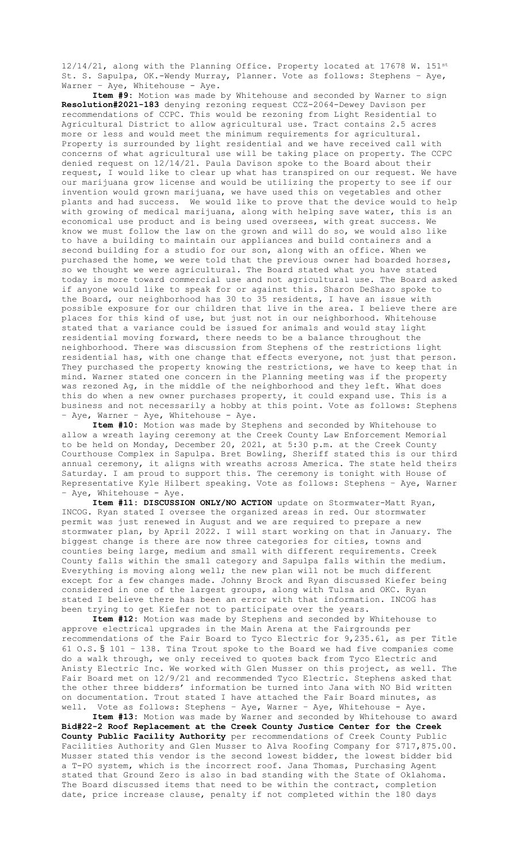$12/14/21$ , along with the Planning Office. Property located at 17678 W. 151st St. S. Sapulpa, OK.-Wendy Murray, Planner. Vote as follows: Stephens – Aye, Warner - Aye, Whitehouse - Aye.

**Item #9:** Motion was made by Whitehouse and seconded by Warner to sign **Resolution#2021-183** denying rezoning request CCZ-2064-Dewey Davison per recommendations of CCPC. This would be rezoning from Light Residential to Agricultural District to allow agricultural use. Tract contains 2.5 acres more or less and would meet the minimum requirements for agricultural. Property is surrounded by light residential and we have received call with concerns of what agricultural use will be taking place on property. The CCPC denied request on 12/14/21. Paula Davison spoke to the Board about their request, I would like to clear up what has transpired on our request. We have our marijuana grow license and would be utilizing the property to see if our invention would grown marijuana, we have used this on vegetables and other plants and had success. We would like to prove that the device would to help with growing of medical marijuana, along with helping save water, this is an economical use product and is being used oversees, with great success. We know we must follow the law on the grown and will do so, we would also like to have a building to maintain our appliances and build containers and a second building for a studio for our son, along with an office. When we purchased the home, we were told that the previous owner had boarded horses, so we thought we were agricultural. The Board stated what you have stated today is more toward commercial use and not agricultural use. The Board asked if anyone would like to speak for or against this. Sharon DeShazo spoke to the Board, our neighborhood has 30 to 35 residents, I have an issue with possible exposure for our children that live in the area. I believe there are places for this kind of use, but just not in our neighborhood. Whitehouse stated that a variance could be issued for animals and would stay light residential moving forward, there needs to be a balance throughout the neighborhood. There was discussion from Stephens of the restrictions light residential has, with one change that effects everyone, not just that person. They purchased the property knowing the restrictions, we have to keep that in mind. Warner stated one concern in the Planning meeting was if the property was rezoned Ag, in the middle of the neighborhood and they left. What does this do when a new owner purchases property, it could expand use. This is a business and not necessarily a hobby at this point. Vote as follows: Stephens – Aye, Warner – Aye, Whitehouse - Aye.

**Item #10:** Motion was made by Stephens and seconded by Whitehouse to allow a wreath laying ceremony at the Creek County Law Enforcement Memorial to be held on Monday, December 20, 2021, at 5:30 p.m. at the Creek County Courthouse Complex in Sapulpa. Bret Bowling, Sheriff stated this is our third annual ceremony, it aligns with wreaths across America. The state held theirs Saturday. I am proud to support this. The ceremony is tonight with House of Representative Kyle Hilbert speaking. Vote as follows: Stephens – Aye, Warner - Aye, Whitehouse - Aye.

**Item #11: DISCUSSION ONLY/NO ACTION** update on Stormwater-Matt Ryan, INCOG. Ryan stated I oversee the organized areas in red. Our stormwater permit was just renewed in August and we are required to prepare a new stormwater plan, by April 2022. I will start working on that in January. The biggest change is there are now three categories for cities, towns and counties being large, medium and small with different requirements. Creek County falls within the small category and Sapulpa falls within the medium. Everything is moving along well; the new plan will not be much different except for a few changes made. Johnny Brock and Ryan discussed Kiefer being considered in one of the largest groups, along with Tulsa and OKC. Ryan stated I believe there has been an error with that information. INCOG has been trying to get Kiefer not to participate over the years.

**Item #12:** Motion was made by Stephens and seconded by Whitehouse to approve electrical upgrades in the Main Arena at the Fairgrounds per recommendations of the Fair Board to Tyco Electric for 9,235.61, as per Title 61 O.S. § 101 – 138. Tina Trout spoke to the Board we had five companies come do a walk through, we only received to quotes back from Tyco Electric and Anisty Electric Inc. We worked with Glen Musser on this project, as well. The Fair Board met on 12/9/21 and recommended Tyco Electric. Stephens asked that the other three bidders' information be turned into Jana with NO Bid written on documentation. Trout stated I have attached the Fair Board minutes, as well. Vote as follows: Stephens – Aye, Warner – Aye, Whitehouse - Aye.

**Item #13:** Motion was made by Warner and seconded by Whitehouse to award **Bid#22-2 Roof Replacement at the Creek County Justice Center for the Creek County Public Facility Authority** per recommendations of Creek County Public Facilities Authority and Glen Musser to Alva Roofing Company for \$717,875.00. Musser stated this vendor is the second lowest bidder, the lowest bidder bid a T-PO system, which is the incorrect roof. Jana Thomas, Purchasing Agent stated that Ground Zero is also in bad standing with the State of Oklahoma. The Board discussed items that need to be within the contract, completion date, price increase clause, penalty if not completed within the 180 days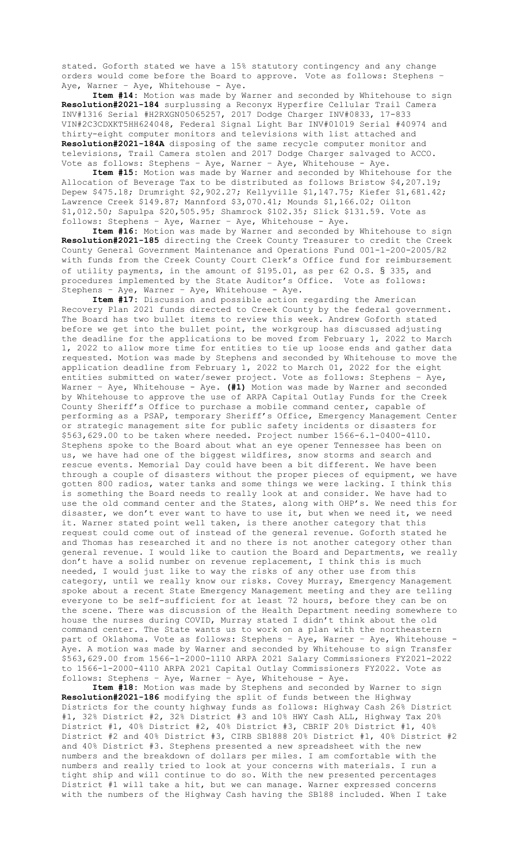stated. Goforth stated we have a 15% statutory contingency and any change orders would come before the Board to approve. Vote as follows: Stephens – Aye, Warner - Aye, Whitehouse - Aye.

**Item #14:** Motion was made by Warner and seconded by Whitehouse to sign **Resolution#2021-184** surplussing a Reconyx Hyperfire Cellular Trail Camera INV#1316 Serial #H2RXGN05065257, 2017 Dodge Charger INV#0833, 17-833 VIN#2C3CDXKT5HH624048, Federal Signal Light Bar INV#01019 Serial #40974 and thirty-eight computer monitors and televisions with list attached and **Resolution#2021-184A** disposing of the same recycle computer monitor and televisions, Trail Camera stolen and 2017 Dodge Charger salvaged to ACCO. Vote as follows: Stephens – Aye, Warner – Aye, Whitehouse - Aye.

**Item #15:** Motion was made by Warner and seconded by Whitehouse for the Allocation of Beverage Tax to be distributed as follows Bristow \$4,207.19; Depew \$475.18; Drumright \$2,902.27; Kellyville \$1,147.75; Kiefer \$1,681.42; Lawrence Creek \$149.87; Mannford \$3,070.41; Mounds \$1,166.02; Oilton \$1,012.50; Sapulpa \$20,505.95; Shamrock \$102.35; Slick \$131.59. Vote as follows: Stephens – Aye, Warner – Aye, Whitehouse - Aye.

**Item #16:** Motion was made by Warner and seconded by Whitehouse to sign **Resolution#2021-185** directing the Creek County Treasurer to credit the Creek County General Government Maintenance and Operations Fund 001-1-200-2005/R2 with funds from the Creek County Court Clerk's Office fund for reimbursement of utility payments, in the amount of \$195.01, as per 62 O.S. § 335, and procedures implemented by the State Auditor's Office. Vote as follows: Stephens – Aye, Warner – Aye, Whitehouse - Aye.

**Item #17:** Discussion and possible action regarding the American Recovery Plan 2021 funds directed to Creek County by the federal government. The Board has two bullet items to review this week. Andrew Goforth stated before we get into the bullet point, the workgroup has discussed adjusting the deadline for the applications to be moved from February 1, 2022 to March 1, 2022 to allow more time for entities to tie up loose ends and gather data requested. Motion was made by Stephens and seconded by Whitehouse to move the application deadline from February 1, 2022 to March 01, 2022 for the eight entities submitted on water/sewer project. Vote as follows: Stephens – Aye, Warner – Aye, Whitehouse - Aye. **(#1)** Motion was made by Warner and seconded by Whitehouse to approve the use of ARPA Capital Outlay Funds for the Creek County Sheriff's Office to purchase a mobile command center, capable of performing as a PSAP, temporary Sheriff's Office, Emergency Management Center or strategic management site for public safety incidents or disasters for \$563,629.00 to be taken where needed. Project number 1566-6.1-0400-4110. Stephens spoke to the Board about what an eye opener Tennessee has been on us, we have had one of the biggest wildfires, snow storms and search and rescue events. Memorial Day could have been a bit different. We have been through a couple of disasters without the proper pieces of equipment, we have gotten 800 radios, water tanks and some things we were lacking. I think this is something the Board needs to really look at and consider. We have had to use the old command center and the States, along with OHP's. We need this for disaster, we don't ever want to have to use it, but when we need it, we need it. Warner stated point well taken, is there another category that this request could come out of instead of the general revenue. Goforth stated he and Thomas has researched it and no there is not another category other than general revenue. I would like to caution the Board and Departments, we really don't have a solid number on revenue replacement, I think this is much needed, I would just like to way the risks of any other use from this category, until we really know our risks. Covey Murray, Emergency Management spoke about a recent State Emergency Management meeting and they are telling everyone to be self-sufficient for at least 72 hours, before they can be on the scene. There was discussion of the Health Department needing somewhere to house the nurses during COVID, Murray stated I didn't think about the old command center. The State wants us to work on a plan with the northeastern part of Oklahoma. Vote as follows: Stephens – Aye, Warner – Aye, Whitehouse - Aye. A motion was made by Warner and seconded by Whitehouse to sign Transfer \$563,629.00 from 1566-1-2000-1110 ARPA 2021 Salary Commissioners FY2021-2022 to 1566-1-2000-4110 ARPA 2021 Capital Outlay Commissioners FY2022. Vote as follows: Stephens – Aye, Warner – Aye, Whitehouse - Aye.

**Item #18:** Motion was made by Stephens and seconded by Warner to sign **Resolution#2021-186** modifying the split of funds between the Highway Districts for the county highway funds as follows: Highway Cash 26% District #1, 32% District #2, 32% District #3 and 10% HWY Cash ALL, Highway Tax 20% District #1, 40% District #2, 40% District #3, CBRIF 20% District #1, 40% District #2 and 40% District #3, CIRB SB1888 20% District #1, 40% District #2 and 40% District #3. Stephens presented a new spreadsheet with the new numbers and the breakdown of dollars per miles. I am comfortable with the numbers and really tried to look at your concerns with materials. I run a tight ship and will continue to do so. With the new presented percentages District #1 will take a hit, but we can manage. Warner expressed concerns with the numbers of the Highway Cash having the SB188 included. When I take